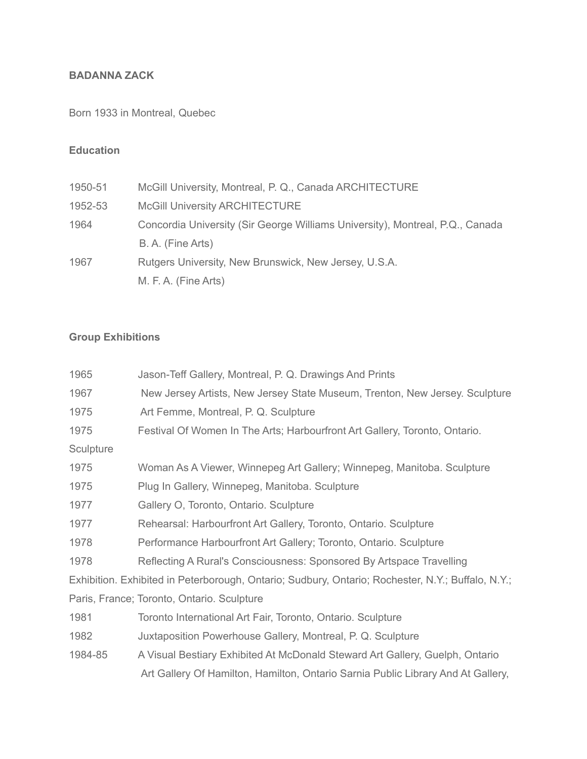## **BADANNA ZACK**

Born 1933 in Montreal, Quebec

# **Education**

| 1950-51 | McGill University, Montreal, P. Q., Canada ARCHITECTURE                       |
|---------|-------------------------------------------------------------------------------|
| 1952-53 | <b>McGill University ARCHITECTURE</b>                                         |
| 1964    | Concordia University (Sir George Williams University), Montreal, P.Q., Canada |
|         | B. A. (Fine Arts)                                                             |
| 1967    | Rutgers University, New Brunswick, New Jersey, U.S.A.                         |
|         | M. F. A. (Fine Arts)                                                          |

## **Group Exhibitions**

| 1965      | Jason-Teff Gallery, Montreal, P. Q. Drawings And Prints                                           |
|-----------|---------------------------------------------------------------------------------------------------|
| 1967      | New Jersey Artists, New Jersey State Museum, Trenton, New Jersey. Sculpture                       |
| 1975      | Art Femme, Montreal, P. Q. Sculpture                                                              |
| 1975      | Festival Of Women In The Arts; Harbourfront Art Gallery, Toronto, Ontario.                        |
| Sculpture |                                                                                                   |
| 1975      | Woman As A Viewer, Winnepeg Art Gallery; Winnepeg, Manitoba. Sculpture                            |
| 1975      | Plug In Gallery, Winnepeg, Manitoba. Sculpture                                                    |
| 1977      | Gallery O, Toronto, Ontario. Sculpture                                                            |
| 1977      | Rehearsal: Harbourfront Art Gallery, Toronto, Ontario. Sculpture                                  |
| 1978      | Performance Harbourfront Art Gallery; Toronto, Ontario. Sculpture                                 |
| 1978      | Reflecting A Rural's Consciousness: Sponsored By Artspace Travelling                              |
|           | Exhibition. Exhibited in Peterborough, Ontario; Sudbury, Ontario; Rochester, N.Y.; Buffalo, N.Y.; |
|           | Paris, France; Toronto, Ontario. Sculpture                                                        |
| 1981      | Toronto International Art Fair, Toronto, Ontario. Sculpture                                       |
| 1982      | Juxtaposition Powerhouse Gallery, Montreal, P. Q. Sculpture                                       |
| 1984-85   | A Visual Bestiary Exhibited At McDonald Steward Art Gallery, Guelph, Ontario                      |
|           | Art Gallery Of Hamilton, Hamilton, Ontario Sarnia Public Library And At Gallery,                  |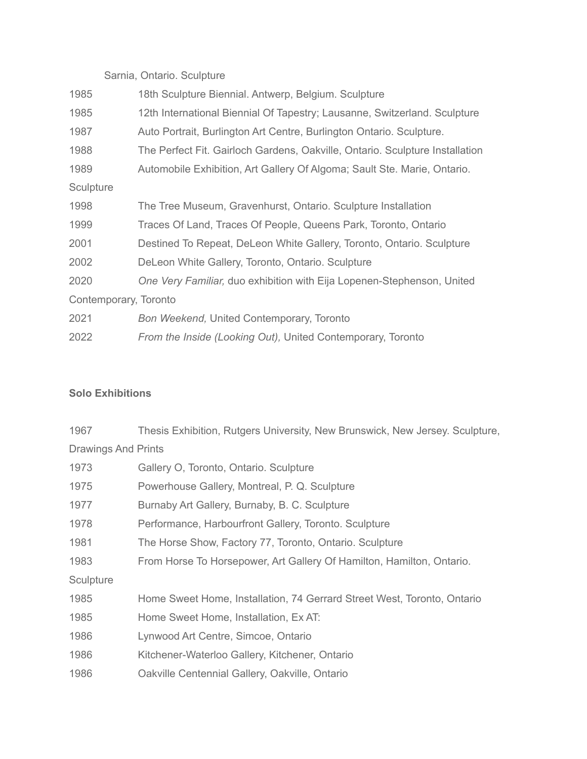# Sarnia, Ontario. Sculpture

| 1985                  | 18th Sculpture Biennial. Antwerp, Belgium. Sculpture                         |
|-----------------------|------------------------------------------------------------------------------|
| 1985                  | 12th International Biennial Of Tapestry; Lausanne, Switzerland. Sculpture    |
| 1987                  | Auto Portrait, Burlington Art Centre, Burlington Ontario. Sculpture.         |
| 1988                  | The Perfect Fit. Gairloch Gardens, Oakville, Ontario. Sculpture Installation |
| 1989                  | Automobile Exhibition, Art Gallery Of Algoma; Sault Ste. Marie, Ontario.     |
| Sculpture             |                                                                              |
| 1998                  | The Tree Museum, Gravenhurst, Ontario. Sculpture Installation                |
| 1999                  | Traces Of Land, Traces Of People, Queens Park, Toronto, Ontario              |
| 2001                  | Destined To Repeat, DeLeon White Gallery, Toronto, Ontario. Sculpture        |
| 2002                  | DeLeon White Gallery, Toronto, Ontario. Sculpture                            |
| 2020                  | One Very Familiar, duo exhibition with Eija Lopenen-Stephenson, United       |
| Contemporary, Toronto |                                                                              |
| 2021                  | Bon Weekend, United Contemporary, Toronto                                    |
| 2022                  | From the Inside (Looking Out), United Contemporary, Toronto                  |

# **Solo Exhibitions**

| 1967                       | Thesis Exhibition, Rutgers University, New Brunswick, New Jersey. Sculpture, |
|----------------------------|------------------------------------------------------------------------------|
| <b>Drawings And Prints</b> |                                                                              |
| 1973                       | Gallery O, Toronto, Ontario. Sculpture                                       |
| 1975                       | Powerhouse Gallery, Montreal, P. Q. Sculpture                                |
| 1977                       | Burnaby Art Gallery, Burnaby, B. C. Sculpture                                |
| 1978                       | Performance, Harbourfront Gallery, Toronto. Sculpture                        |
| 1981                       | The Horse Show, Factory 77, Toronto, Ontario. Sculpture                      |
| 1983                       | From Horse To Horsepower, Art Gallery Of Hamilton, Hamilton, Ontario.        |
| Sculpture                  |                                                                              |
| 1985                       | Home Sweet Home, Installation, 74 Gerrard Street West, Toronto, Ontario      |
| 1985                       | Home Sweet Home, Installation, Ex AT:                                        |
| 1986                       | Lynwood Art Centre, Simcoe, Ontario                                          |
| 1986                       | Kitchener-Waterloo Gallery, Kitchener, Ontario                               |
| 1986                       | Oakville Centennial Gallery, Oakville, Ontario                               |
|                            |                                                                              |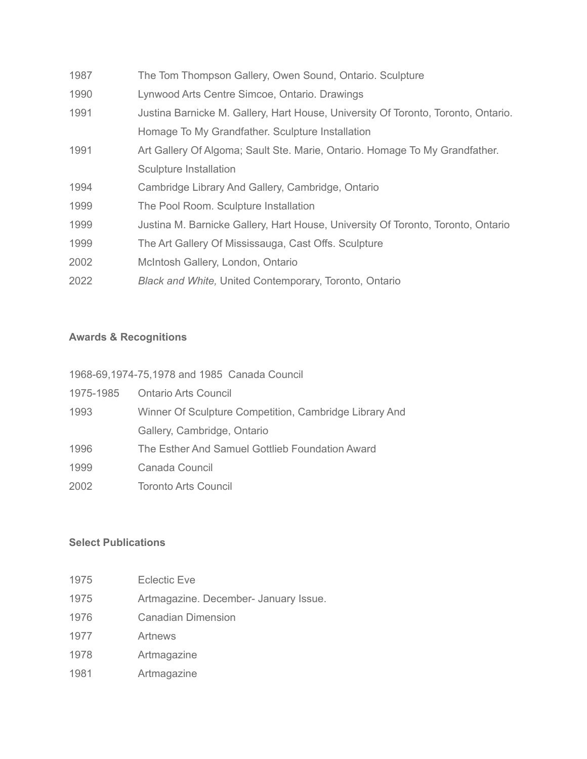| 1987 | The Tom Thompson Gallery, Owen Sound, Ontario. Sculpture                          |
|------|-----------------------------------------------------------------------------------|
| 1990 | Lynwood Arts Centre Simcoe, Ontario. Drawings                                     |
| 1991 | Justina Barnicke M. Gallery, Hart House, University Of Toronto, Toronto, Ontario. |
|      | Homage To My Grandfather. Sculpture Installation                                  |
| 1991 | Art Gallery Of Algoma; Sault Ste. Marie, Ontario. Homage To My Grandfather.       |
|      | Sculpture Installation                                                            |
| 1994 | Cambridge Library And Gallery, Cambridge, Ontario                                 |
| 1999 | The Pool Room. Sculpture Installation                                             |
| 1999 | Justina M. Barnicke Gallery, Hart House, University Of Toronto, Toronto, Ontario  |
| 1999 | The Art Gallery Of Mississauga, Cast Offs. Sculpture                              |
| 2002 | McIntosh Gallery, London, Ontario                                                 |
| 2022 | Black and White, United Contemporary, Toronto, Ontario                            |

#### **Awards & Recognitions**

1968-69,1974-75,1978 and 1985 Canada Council

| 1975-1985 | <b>Ontario Arts Council</b>                            |
|-----------|--------------------------------------------------------|
| 1993      | Winner Of Sculpture Competition, Cambridge Library And |
|           | Gallery, Cambridge, Ontario                            |
| 1996      | The Esther And Samuel Gottlieb Foundation Award        |
| 1999      | Canada Council                                         |
| 2002      | Toronto Arts Council                                   |

### **Select Publications**

- Eclectic Eve
- Artmagazine. December- January Issue.
- Canadian Dimension
- Artnews
- Artmagazine
- Artmagazine